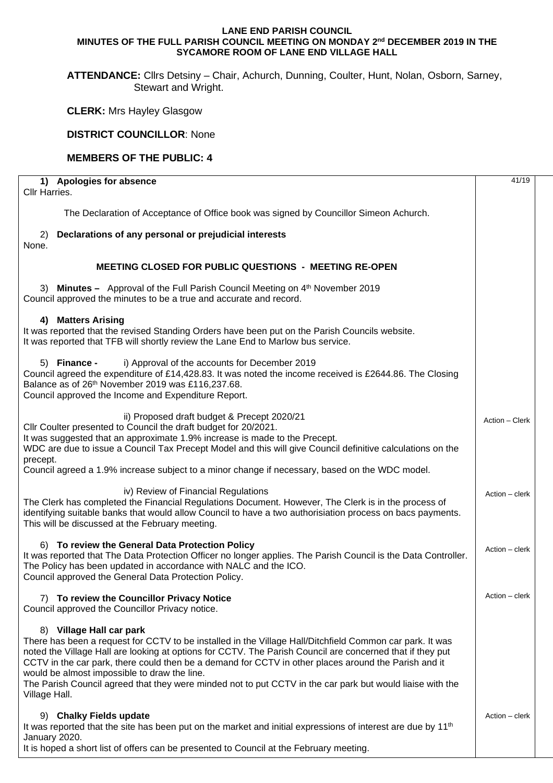## **LANE END PARISH COUNCIL MINUTES OF THE FULL PARISH COUNCIL MEETING ON MONDAY 2nd DECEMBER 2019 IN THE SYCAMORE ROOM OF LANE END VILLAGE HALL**

**ATTENDANCE:** Cllrs Detsiny – Chair, Achurch, Dunning, Coulter, Hunt, Nolan, Osborn, Sarney, Stewart and Wright.

**CLERK:** Mrs Hayley Glasgow

## **DISTRICT COUNCILLOR**: None

## **MEMBERS OF THE PUBLIC: 4**

| 1) Apologies for absence<br>Cllr Harries.                                                                                                                                                                                                                                                                                                                                                                                                                                                                                               | 41/19          |
|-----------------------------------------------------------------------------------------------------------------------------------------------------------------------------------------------------------------------------------------------------------------------------------------------------------------------------------------------------------------------------------------------------------------------------------------------------------------------------------------------------------------------------------------|----------------|
| The Declaration of Acceptance of Office book was signed by Councillor Simeon Achurch.                                                                                                                                                                                                                                                                                                                                                                                                                                                   |                |
| Declarations of any personal or prejudicial interests<br>2)<br>None.                                                                                                                                                                                                                                                                                                                                                                                                                                                                    |                |
| <b>MEETING CLOSED FOR PUBLIC QUESTIONS - MEETING RE-OPEN</b>                                                                                                                                                                                                                                                                                                                                                                                                                                                                            |                |
| Minutes - Approval of the Full Parish Council Meeting on 4 <sup>th</sup> November 2019<br>3)<br>Council approved the minutes to be a true and accurate and record.                                                                                                                                                                                                                                                                                                                                                                      |                |
| <b>Matters Arising</b><br>4)<br>It was reported that the revised Standing Orders have been put on the Parish Councils website.<br>It was reported that TFB will shortly review the Lane End to Marlow bus service.                                                                                                                                                                                                                                                                                                                      |                |
| i) Approval of the accounts for December 2019<br>5) Finance -<br>Council agreed the expenditure of £14,428.83. It was noted the income received is £2644.86. The Closing<br>Balance as of 26th November 2019 was £116,237.68.<br>Council approved the Income and Expenditure Report.                                                                                                                                                                                                                                                    |                |
| ii) Proposed draft budget & Precept 2020/21<br>Cllr Coulter presented to Council the draft budget for 20/2021.<br>It was suggested that an approximate 1.9% increase is made to the Precept.<br>WDC are due to issue a Council Tax Precept Model and this will give Council definitive calculations on the<br>precept.<br>Council agreed a 1.9% increase subject to a minor change if necessary, based on the WDC model.                                                                                                                | Action - Clerk |
| iv) Review of Financial Regulations<br>The Clerk has completed the Financial Regulations Document. However, The Clerk is in the process of<br>identifying suitable banks that would allow Council to have a two authorisiation process on bacs payments.<br>This will be discussed at the February meeting.                                                                                                                                                                                                                             | Action - clerk |
| 6) To review the General Data Protection Policy<br>It was reported that The Data Protection Officer no longer applies. The Parish Council is the Data Controller.<br>The Policy has been updated in accordance with NALC and the ICO.<br>Council approved the General Data Protection Policy.                                                                                                                                                                                                                                           | Action – clerk |
| 7) To review the Councillor Privacy Notice<br>Council approved the Councillor Privacy notice.                                                                                                                                                                                                                                                                                                                                                                                                                                           | Action – clerk |
| 8) Village Hall car park<br>There has been a request for CCTV to be installed in the Village Hall/Ditchfield Common car park. It was<br>noted the Village Hall are looking at options for CCTV. The Parish Council are concerned that if they put<br>CCTV in the car park, there could then be a demand for CCTV in other places around the Parish and it<br>would be almost impossible to draw the line.<br>The Parish Council agreed that they were minded not to put CCTV in the car park but would liaise with the<br>Village Hall. |                |
| 9) Chalky Fields update<br>It was reported that the site has been put on the market and initial expressions of interest are due by 11 <sup>th</sup><br>January 2020.<br>It is hoped a short list of offers can be presented to Council at the February meeting.                                                                                                                                                                                                                                                                         | Action – clerk |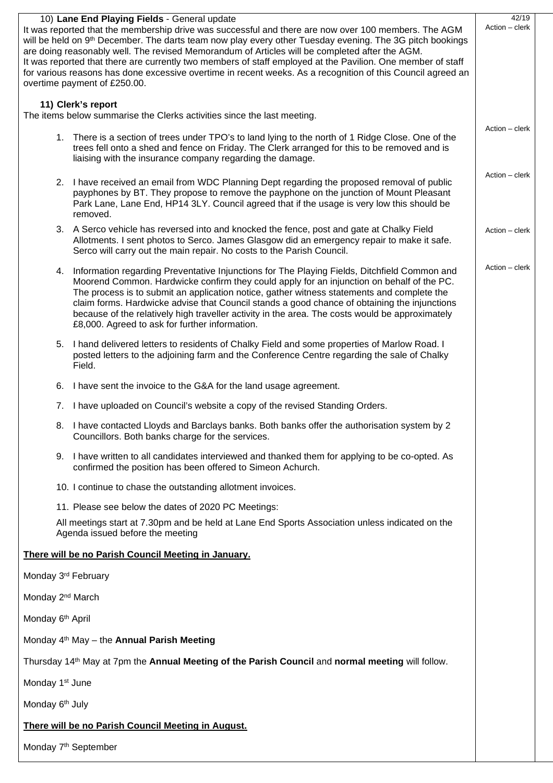| 10) Lane End Playing Fields - General update<br>It was reported that the membership drive was successful and there are now over 100 members. The AGM<br>will be held on 9th December. The darts team now play every other Tuesday evening. The 3G pitch bookings<br>are doing reasonably well. The revised Memorandum of Articles will be completed after the AGM.<br>It was reported that there are currently two members of staff employed at the Pavilion. One member of staff<br>for various reasons has done excessive overtime in recent weeks. As a recognition of this Council agreed an |                                                                                                                                                                                                                                                                                                                                                                                                                                                                                                                                              |                |  |  |  |
|--------------------------------------------------------------------------------------------------------------------------------------------------------------------------------------------------------------------------------------------------------------------------------------------------------------------------------------------------------------------------------------------------------------------------------------------------------------------------------------------------------------------------------------------------------------------------------------------------|----------------------------------------------------------------------------------------------------------------------------------------------------------------------------------------------------------------------------------------------------------------------------------------------------------------------------------------------------------------------------------------------------------------------------------------------------------------------------------------------------------------------------------------------|----------------|--|--|--|
| overtime payment of £250.00.                                                                                                                                                                                                                                                                                                                                                                                                                                                                                                                                                                     |                                                                                                                                                                                                                                                                                                                                                                                                                                                                                                                                              |                |  |  |  |
|                                                                                                                                                                                                                                                                                                                                                                                                                                                                                                                                                                                                  | 11) Clerk's report<br>The items below summarise the Clerks activities since the last meeting.                                                                                                                                                                                                                                                                                                                                                                                                                                                |                |  |  |  |
|                                                                                                                                                                                                                                                                                                                                                                                                                                                                                                                                                                                                  | 1. There is a section of trees under TPO's to land lying to the north of 1 Ridge Close. One of the<br>trees fell onto a shed and fence on Friday. The Clerk arranged for this to be removed and is<br>liaising with the insurance company regarding the damage.                                                                                                                                                                                                                                                                              | Action - clerk |  |  |  |
|                                                                                                                                                                                                                                                                                                                                                                                                                                                                                                                                                                                                  | 2. I have received an email from WDC Planning Dept regarding the proposed removal of public<br>payphones by BT. They propose to remove the payphone on the junction of Mount Pleasant<br>Park Lane, Lane End, HP14 3LY. Council agreed that if the usage is very low this should be<br>removed.                                                                                                                                                                                                                                              | Action - clerk |  |  |  |
|                                                                                                                                                                                                                                                                                                                                                                                                                                                                                                                                                                                                  | 3. A Serco vehicle has reversed into and knocked the fence, post and gate at Chalky Field<br>Allotments. I sent photos to Serco. James Glasgow did an emergency repair to make it safe.<br>Serco will carry out the main repair. No costs to the Parish Council.                                                                                                                                                                                                                                                                             | Action - clerk |  |  |  |
| 4.                                                                                                                                                                                                                                                                                                                                                                                                                                                                                                                                                                                               | Information regarding Preventative Injunctions for The Playing Fields, Ditchfield Common and<br>Moorend Common. Hardwicke confirm they could apply for an injunction on behalf of the PC.<br>The process is to submit an application notice, gather witness statements and complete the<br>claim forms. Hardwicke advise that Council stands a good chance of obtaining the injunctions<br>because of the relatively high traveller activity in the area. The costs would be approximately<br>£8,000. Agreed to ask for further information. | Action - clerk |  |  |  |
|                                                                                                                                                                                                                                                                                                                                                                                                                                                                                                                                                                                                  | 5. I hand delivered letters to residents of Chalky Field and some properties of Marlow Road. I<br>posted letters to the adjoining farm and the Conference Centre regarding the sale of Chalky<br>Field.                                                                                                                                                                                                                                                                                                                                      |                |  |  |  |
|                                                                                                                                                                                                                                                                                                                                                                                                                                                                                                                                                                                                  | 6. I have sent the invoice to the G&A for the land usage agreement.                                                                                                                                                                                                                                                                                                                                                                                                                                                                          |                |  |  |  |
| 7.                                                                                                                                                                                                                                                                                                                                                                                                                                                                                                                                                                                               | I have uploaded on Council's website a copy of the revised Standing Orders.                                                                                                                                                                                                                                                                                                                                                                                                                                                                  |                |  |  |  |
| 8.                                                                                                                                                                                                                                                                                                                                                                                                                                                                                                                                                                                               | I have contacted Lloyds and Barclays banks. Both banks offer the authorisation system by 2<br>Councillors. Both banks charge for the services.                                                                                                                                                                                                                                                                                                                                                                                               |                |  |  |  |
|                                                                                                                                                                                                                                                                                                                                                                                                                                                                                                                                                                                                  | 9. I have written to all candidates interviewed and thanked them for applying to be co-opted. As<br>confirmed the position has been offered to Simeon Achurch.                                                                                                                                                                                                                                                                                                                                                                               |                |  |  |  |
|                                                                                                                                                                                                                                                                                                                                                                                                                                                                                                                                                                                                  | 10. I continue to chase the outstanding allotment invoices.                                                                                                                                                                                                                                                                                                                                                                                                                                                                                  |                |  |  |  |
| 11. Please see below the dates of 2020 PC Meetings:                                                                                                                                                                                                                                                                                                                                                                                                                                                                                                                                              |                                                                                                                                                                                                                                                                                                                                                                                                                                                                                                                                              |                |  |  |  |
| All meetings start at 7.30pm and be held at Lane End Sports Association unless indicated on the<br>Agenda issued before the meeting                                                                                                                                                                                                                                                                                                                                                                                                                                                              |                                                                                                                                                                                                                                                                                                                                                                                                                                                                                                                                              |                |  |  |  |
|                                                                                                                                                                                                                                                                                                                                                                                                                                                                                                                                                                                                  | There will be no Parish Council Meeting in January.                                                                                                                                                                                                                                                                                                                                                                                                                                                                                          |                |  |  |  |
| Monday 3rd February                                                                                                                                                                                                                                                                                                                                                                                                                                                                                                                                                                              |                                                                                                                                                                                                                                                                                                                                                                                                                                                                                                                                              |                |  |  |  |
| Monday 2 <sup>nd</sup> March                                                                                                                                                                                                                                                                                                                                                                                                                                                                                                                                                                     |                                                                                                                                                                                                                                                                                                                                                                                                                                                                                                                                              |                |  |  |  |
| Monday 6 <sup>th</sup> April                                                                                                                                                                                                                                                                                                                                                                                                                                                                                                                                                                     |                                                                                                                                                                                                                                                                                                                                                                                                                                                                                                                                              |                |  |  |  |
|                                                                                                                                                                                                                                                                                                                                                                                                                                                                                                                                                                                                  | Monday 4 <sup>th</sup> May - the <b>Annual Parish Meeting</b>                                                                                                                                                                                                                                                                                                                                                                                                                                                                                |                |  |  |  |
| Thursday 14 <sup>th</sup> May at 7pm the Annual Meeting of the Parish Council and normal meeting will follow.                                                                                                                                                                                                                                                                                                                                                                                                                                                                                    |                                                                                                                                                                                                                                                                                                                                                                                                                                                                                                                                              |                |  |  |  |
| Monday 1 <sup>st</sup> June                                                                                                                                                                                                                                                                                                                                                                                                                                                                                                                                                                      |                                                                                                                                                                                                                                                                                                                                                                                                                                                                                                                                              |                |  |  |  |
| Monday 6 <sup>th</sup> July                                                                                                                                                                                                                                                                                                                                                                                                                                                                                                                                                                      |                                                                                                                                                                                                                                                                                                                                                                                                                                                                                                                                              |                |  |  |  |
| There will be no Parish Council Meeting in August.                                                                                                                                                                                                                                                                                                                                                                                                                                                                                                                                               |                                                                                                                                                                                                                                                                                                                                                                                                                                                                                                                                              |                |  |  |  |
| Monday 7 <sup>th</sup> September                                                                                                                                                                                                                                                                                                                                                                                                                                                                                                                                                                 |                                                                                                                                                                                                                                                                                                                                                                                                                                                                                                                                              |                |  |  |  |